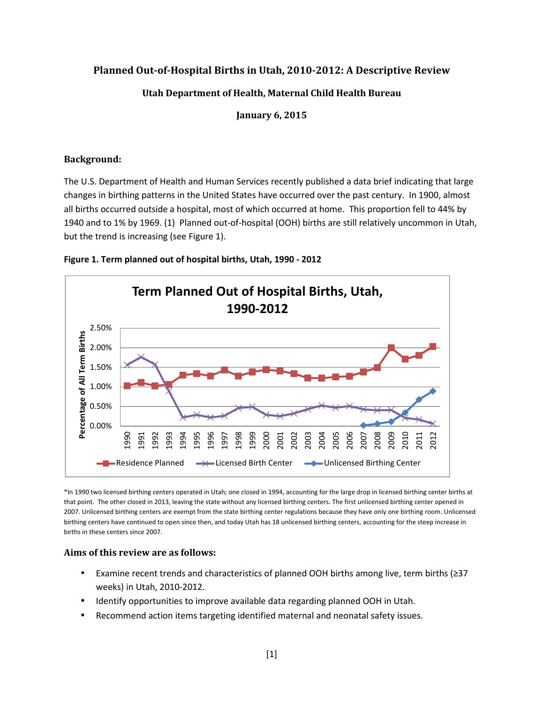# **Planned Out-of-Hospital Births in Utah, 2010-2012: A Descriptive Review**

# **Utah Department of Health, Maternal Child Health Bureau**

**January 6, 2015** 

#### **Background:**

The U.S. Department of Health and Human Services recently published a data brief indicating that large changes in birthing patterns in the United States have occurred over the past century. In 1900, almost all births occurred outside a hospital, most of which occurred at home. This proportion fell to 44% by 1940 and to 1% by 1969. (1) Planned out-of-hospital (OOH) births are still relatively uncommon in Utah, but the trend is increasing (see Figure 1).





\*In 1990 two licensed birthing centers operated in Utah; one closed in 1994, accounting for the large drop in licensed birthing center births at that point. The other closed in 2013, leaving the state without any licensed birthing centers. The first unlicensed birthing center opened in 2007. Unlicensed birthing centers are exempt from the state birthing center regulations because they have only one birthing room. Unlicensed birthing centers have continued to open since then, and today Utah has 18 unlicensed birthing centers, accounting for the steep increase in births in these centers since 2007.

#### **Aims of this review are as follows:**

- Examine recent trends and characteristics of planned OOH births among live, term births (≥37 weeks) in Utah, 2010-2012.
- Identify opportunities to improve available data regarding planned OOH in Utah.
- Recommend action items targeting identified maternal and neonatal safety issues.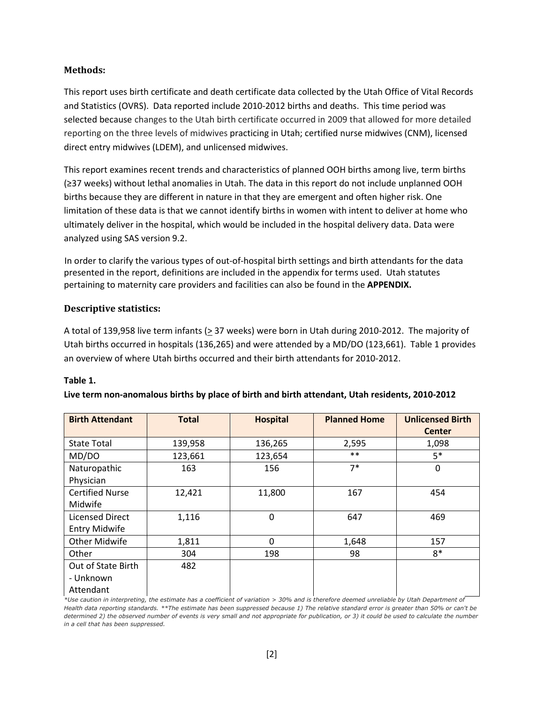## **Methods:**

This report uses birth certificate and death certificate data collected by the Utah Office of Vital Records and Statistics (OVRS). Data reported include 2010-2012 births and deaths. This time period was selected because changes to the Utah birth certificate occurred in 2009 that allowed for more detailed reporting on the three levels of midwives practicing in Utah; certified nurse midwives (CNM), licensed direct entry midwives (LDEM), and unlicensed midwives.

This report examines recent trends and characteristics of planned OOH births among live, term births (≥37 weeks) without lethal anomalies in Utah. The data in this report do not include unplanned OOH births because they are different in nature in that they are emergent and often higher risk. One limitation of these data is that we cannot identify births in women with intent to deliver at home who ultimately deliver in the hospital, which would be included in the hospital delivery data. Data were analyzed using SAS version 9.2.

In order to clarify the various types of out-of-hospital birth settings and birth attendants for the data presented in the report, definitions are included in the appendix for terms used. Utah statutes pertaining to maternity care providers and facilities can also be found in the **APPENDIX.**

## **Descriptive statistics:**

A total of 139,958 live term infants ( $\geq$  37 weeks) were born in Utah during 2010-2012. The majority of Utah births occurred in hospitals (136,265) and were attended by a MD/DO (123,661). Table 1 provides an overview of where Utah births occurred and their birth attendants for 2010-2012.

#### **Table 1.**

| <b>Birth Attendant</b>                         | <b>Total</b> | <b>Hospital</b> | <b>Planned Home</b> | <b>Unlicensed Birth</b><br><b>Center</b> |
|------------------------------------------------|--------------|-----------------|---------------------|------------------------------------------|
| <b>State Total</b>                             | 139,958      | 136,265         | 2,595               | 1,098                                    |
| MD/DO                                          | 123,661      | 123,654         | $***$               | $5*$                                     |
| Naturopathic<br>Physician                      | 163          | 156             | $7*$                | 0                                        |
| <b>Certified Nurse</b><br>Midwife              | 12,421       | 11,800          | 167                 | 454                                      |
| <b>Licensed Direct</b><br><b>Entry Midwife</b> | 1,116        | $\mathbf{0}$    | 647                 | 469                                      |
| <b>Other Midwife</b>                           | 1,811        | 0               | 1,648               | 157                                      |
| Other                                          | 304          | 198             | 98                  | $8*$                                     |
| Out of State Birth<br>- Unknown<br>Attendant   | 482          |                 |                     |                                          |

#### **Live term non-anomalous births by place of birth and birth attendant, Utah residents, 2010-2012**

*\*Use caution in interpreting, the estimate has a coefficient of variation > 30% and is therefore deemed unreliable by Utah Department of Health data reporting standards. \*\*The estimate has been suppressed because 1) The relative standard error is greater than 50% or can't be determined 2) the observed number of events is very small and not appropriate for publication, or 3) it could be used to calculate the number in a cell that has been suppressed.*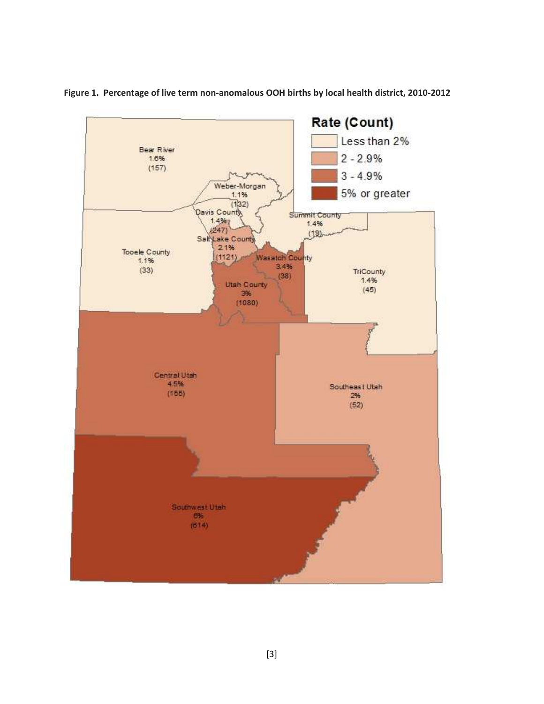

**Figure 1. Percentage of live term non-anomalous OOH births by local health district, 2010-2012**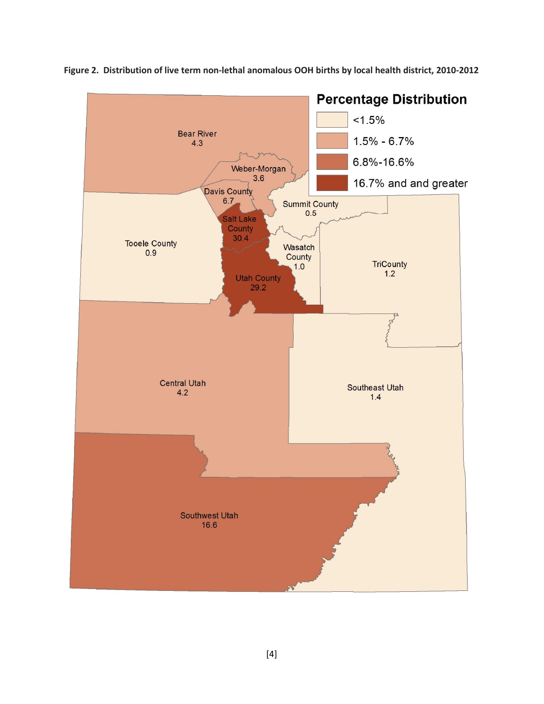

**Figure 2. Distribution of live term non-lethal anomalous OOH births by local health district, 2010-2012**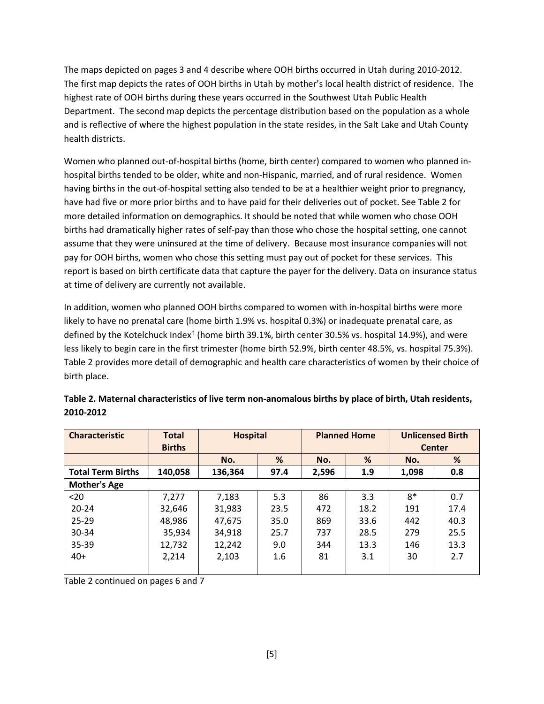The maps depicted on pages 3 and 4 describe where OOH births occurred in Utah during 2010-2012. The first map depicts the rates of OOH births in Utah by mother's local health district of residence. The highest rate of OOH births during these years occurred in the Southwest Utah Public Health Department. The second map depicts the percentage distribution based on the population as a whole and is reflective of where the highest population in the state resides, in the Salt Lake and Utah County health districts.

Women who planned out-of-hospital births (home, birth center) compared to women who planned inhospital births tended to be older, white and non-Hispanic, married, and of rural residence. Women having births in the out-of-hospital setting also tended to be at a healthier weight prior to pregnancy, have had five or more prior births and to have paid for their deliveries out of pocket. See Table 2 for more detailed information on demographics. It should be noted that while women who chose OOH births had dramatically higher rates of self-pay than those who chose the hospital setting, one cannot assume that they were uninsured at the time of delivery. Because most insurance companies will not pay for OOH births, women who chose this setting must pay out of pocket for these services. This report is based on birth certificate data that capture the payer for the delivery. Data on insurance status at time of delivery are currently not available.

In addition, women who planned OOH births compared to women with in-hospital births were more likely to have no prenatal care (home birth 1.9% vs. hospital 0.3%) or inadequate prenatal care, as defined by the Kotelchuck Index<sup>‡</sup> (home birth 39.1%, birth center 30.5% vs. hospital 14.9%), and were less likely to begin care in the first trimester (home birth 52.9%, birth center 48.5%, vs. hospital 75.3%). Table 2 provides more detail of demographic and health care characteristics of women by their choice of birth place.

| <b>Characteristic</b>    | <b>Total</b><br><b>Births</b> | <b>Hospital</b> |      | <b>Planned Home</b> |      | <b>Unlicensed Birth</b><br><b>Center</b> |      |
|--------------------------|-------------------------------|-----------------|------|---------------------|------|------------------------------------------|------|
|                          |                               | No.             | %    | No.                 | %    | No.                                      | %    |
| <b>Total Term Births</b> | 140,058                       | 136,364         | 97.4 | 2,596               | 1.9  | 1,098                                    | 0.8  |
| <b>Mother's Age</b>      |                               |                 |      |                     |      |                                          |      |
| $20$                     | 7,277                         | 7,183           | 5.3  | 86                  | 3.3  | $8*$                                     | 0.7  |
| $20 - 24$                | 32,646                        | 31,983          | 23.5 | 472                 | 18.2 | 191                                      | 17.4 |
| $25 - 29$                | 48,986                        | 47,675          | 35.0 | 869                 | 33.6 | 442                                      | 40.3 |
| 30-34                    | 35,934                        | 34,918          | 25.7 | 737                 | 28.5 | 279                                      | 25.5 |
| $35 - 39$                | 12,732                        | 12,242          | 9.0  | 344                 | 13.3 | 146                                      | 13.3 |
| $40+$                    | 2.214                         | 2,103           | 1.6  | 81                  | 3.1  | 30                                       | 2.7  |
|                          |                               |                 |      |                     |      |                                          |      |

| Table 2. Maternal characteristics of live term non-anomalous births by place of birth, Utah residents, |  |
|--------------------------------------------------------------------------------------------------------|--|
| 2010-2012                                                                                              |  |

Table 2 continued on pages 6 and 7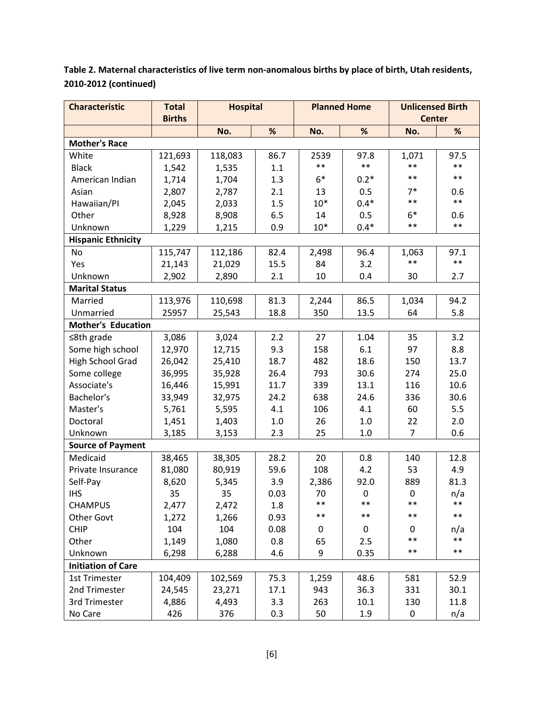**Table 2. Maternal characteristics of live term non-anomalous births by place of birth, Utah residents, 2010-2012 (continued)** 

| <b>Characteristic</b>     | <b>Total</b>  | <b>Hospital</b> |      | <b>Planned Home</b> |        | <b>Unlicensed Birth</b> |       |
|---------------------------|---------------|-----------------|------|---------------------|--------|-------------------------|-------|
|                           | <b>Births</b> |                 |      |                     |        | <b>Center</b>           |       |
|                           |               | No.             | %    | No.                 | %      | No.                     | %     |
| <b>Mother's Race</b>      |               |                 |      |                     |        |                         |       |
| White                     | 121,693       | 118,083         | 86.7 | 2539                | 97.8   | 1,071                   | 97.5  |
| <b>Black</b>              | 1,542         | 1,535           | 1.1  | $***$               | $***$  | $***$                   | $***$ |
| American Indian           | 1,714         | 1,704           | 1.3  | $6*$                | $0.2*$ | $***$                   | $***$ |
| Asian                     | 2,807         | 2,787           | 2.1  | 13                  | 0.5    | $7*$                    | 0.6   |
| Hawaiian/PI               | 2,045         | 2,033           | 1.5  | $10*$               | $0.4*$ | $***$                   | $***$ |
| Other                     | 8,928         | 8,908           | 6.5  | 14                  | 0.5    | $6*$                    | 0.6   |
| Unknown                   | 1,229         | 1,215           | 0.9  | $10*$               | $0.4*$ | $***$                   | $***$ |
| <b>Hispanic Ethnicity</b> |               |                 |      |                     |        |                         |       |
| No                        | 115,747       | 112,186         | 82.4 | 2,498               | 96.4   | 1,063                   | 97.1  |
| Yes                       | 21,143        | 21,029          | 15.5 | 84                  | 3.2    | $**$                    | $***$ |
| Unknown                   | 2,902         | 2,890           | 2.1  | 10                  | 0.4    | 30                      | 2.7   |
| <b>Marital Status</b>     |               |                 |      |                     |        |                         |       |
| Married                   | 113,976       | 110,698         | 81.3 | 2,244               | 86.5   | 1,034                   | 94.2  |
| Unmarried                 | 25957         | 25,543          | 18.8 | 350                 | 13.5   | 64                      | 5.8   |
| <b>Mother's Education</b> |               |                 |      |                     |        |                         |       |
| $≤8th$ grade              | 3,086         | 3,024           | 2.2  | 27                  | 1.04   | 35                      | 3.2   |
| Some high school          | 12,970        | 12,715          | 9.3  | 158                 | 6.1    | 97                      | 8.8   |
| High School Grad          | 26,042        | 25,410          | 18.7 | 482                 | 18.6   | 150                     | 13.7  |
| Some college              | 36,995        | 35,928          | 26.4 | 793                 | 30.6   | 274                     | 25.0  |
| Associate's               | 16,446        | 15,991          | 11.7 | 339                 | 13.1   | 116                     | 10.6  |
| Bachelor's                | 33,949        | 32,975          | 24.2 | 638                 | 24.6   | 336                     | 30.6  |
| Master's                  | 5,761         | 5,595           | 4.1  | 106                 | 4.1    | 60                      | 5.5   |
| Doctoral                  | 1,451         | 1,403           | 1.0  | 26                  | 1.0    | 22                      | 2.0   |
| Unknown                   | 3,185         | 3,153           | 2.3  | 25                  | 1.0    | $\overline{7}$          | 0.6   |
| <b>Source of Payment</b>  |               |                 |      |                     |        |                         |       |
| Medicaid                  | 38,465        | 38,305          | 28.2 | 20                  | 0.8    | 140                     | 12.8  |
| Private Insurance         | 81,080        | 80,919          | 59.6 | 108                 | 4.2    | 53                      | 4.9   |
| Self-Pay                  | 8,620         | 5,345           | 3.9  | 2,386               | 92.0   | 889                     | 81.3  |
| <b>IHS</b>                | 35            | 35              | 0.03 | 70                  | 0      | $\pmb{0}$               | n/a   |
| <b>CHAMPUS</b>            | 2,477         | 2,472           | 1.8  | $**$                | $**$   | $***$                   | $***$ |
| <b>Other Govt</b>         | 1,272         | 1,266           | 0.93 | $\ast\ast$          | $**$   | $***$                   | $***$ |
| <b>CHIP</b>               | 104           | 104             | 0.08 | 0                   | 0      | 0                       | n/a   |
| Other                     | 1,149         | 1,080           | 0.8  | 65                  | 2.5    | $***$                   | $***$ |
| Unknown                   | 6,298         | 6,288           | 4.6  | 9                   | 0.35   | $***$                   | $***$ |
| <b>Initiation of Care</b> |               |                 |      |                     |        |                         |       |
| <b>1st Trimester</b>      | 104,409       | 102,569         | 75.3 | 1,259               | 48.6   | 581                     | 52.9  |
| 2nd Trimester             | 24,545        | 23,271          | 17.1 | 943                 | 36.3   | 331                     | 30.1  |
| 3rd Trimester             | 4,886         | 4,493           | 3.3  | 263                 | 10.1   | 130                     | 11.8  |
| No Care                   | 426           | 376             | 0.3  | 50                  | 1.9    | 0                       | n/a   |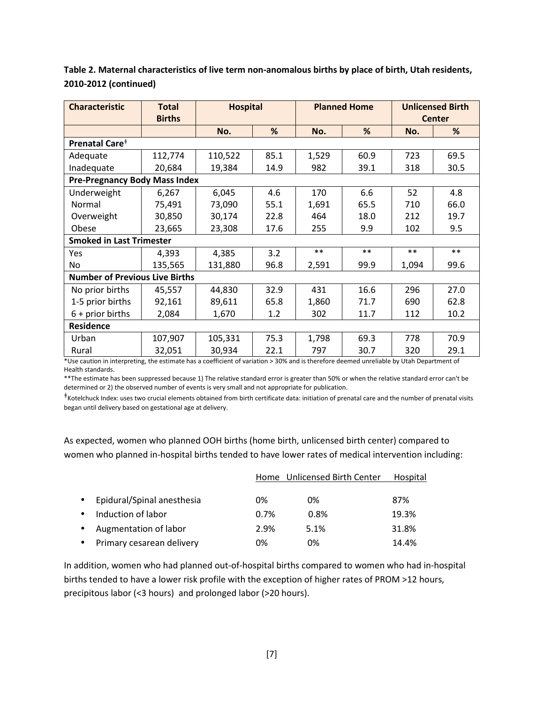| Table 2. Maternal characteristics of live term non-anomalous births by place of birth, Utah residents, |
|--------------------------------------------------------------------------------------------------------|
| 2010-2012 (continued)                                                                                  |

| <b>Characteristic</b>                                                                                                                                        | <b>Total</b><br><b>Births</b>        | <b>Hospital</b> |      | <b>Planned Home</b> |       | <b>Unlicensed Birth</b><br><b>Center</b> |       |
|--------------------------------------------------------------------------------------------------------------------------------------------------------------|--------------------------------------|-----------------|------|---------------------|-------|------------------------------------------|-------|
|                                                                                                                                                              |                                      | No.             | %    | No.                 | %     | No.                                      | %     |
| Prenatal Care <sup>+</sup>                                                                                                                                   |                                      |                 |      |                     |       |                                          |       |
| Adequate                                                                                                                                                     | 112,774                              | 110,522         | 85.1 | 1,529               | 60.9  | 723                                      | 69.5  |
| Inadequate                                                                                                                                                   | 20,684                               | 19,384          | 14.9 | 982                 | 39.1  | 318                                      | 30.5  |
|                                                                                                                                                              | <b>Pre-Pregnancy Body Mass Index</b> |                 |      |                     |       |                                          |       |
| Underweight                                                                                                                                                  | 6,267                                | 6,045           | 4.6  | 170                 | 6.6   | 52                                       | 4.8   |
| Normal                                                                                                                                                       | 75,491                               | 73,090          | 55.1 | 1,691               | 65.5  | 710                                      | 66.0  |
| Overweight                                                                                                                                                   | 30,850                               | 30,174          | 22.8 | 464                 | 18.0  | 212                                      | 19.7  |
| Obese                                                                                                                                                        | 23,665                               | 23,308          | 17.6 | 255                 | 9.9   | 102                                      | 9.5   |
| <b>Smoked in Last Trimester</b>                                                                                                                              |                                      |                 |      |                     |       |                                          |       |
| Yes                                                                                                                                                          | 4,393                                | 4,385           | 3.2  | $**$                | $***$ | $***$                                    | $***$ |
| No                                                                                                                                                           | 135,565                              | 131,880         | 96.8 | 2,591               | 99.9  | 1,094                                    | 99.6  |
| <b>Number of Previous Live Births</b>                                                                                                                        |                                      |                 |      |                     |       |                                          |       |
| No prior births                                                                                                                                              | 45,557                               | 44,830          | 32.9 | 431                 | 16.6  | 296                                      | 27.0  |
| 1-5 prior births                                                                                                                                             | 92,161                               | 89,611          | 65.8 | 1,860               | 71.7  | 690                                      | 62.8  |
| $6 + prior births$                                                                                                                                           | 2,084                                | 1,670           | 1.2  | 302                 | 11.7  | 112                                      | 10.2  |
| <b>Residence</b>                                                                                                                                             |                                      |                 |      |                     |       |                                          |       |
| Urban                                                                                                                                                        | 107,907                              | 105,331         | 75.3 | 1,798               | 69.3  | 778                                      | 70.9  |
| Rural<br>the control is interesting the entirepreneur and firstnaped installance (2007 and is therefore decreed mead intellectually belief the Department of | 32,051                               | 30,934          | 22.1 | 797                 | 30.7  | 320                                      | 29.1  |

\*Use caution in interpreting, the estimate has a coefficient of variation > 30% and is therefore deemed unreliable by Utah Department of Health standards.

\*\*The estimate has been suppressed because 1) The relative standard error is greater than 50% or when the relative standard error can't be determined or 2) the observed number of events is very small and not appropriate for publication.

ǂ Kotelchuck Index: uses two crucial elements obtained from birth certificate data: initiation of prenatal care and the number of prenatal visits began until delivery based on gestational age at delivery.

As expected, women who planned OOH births (home birth, unlicensed birth center) compared to women who planned in-hospital births tended to have lower rates of medical intervention including:

|                                         |         | Home Unlicensed Birth Center | Hospital |
|-----------------------------------------|---------|------------------------------|----------|
| Epidural/Spinal anesthesia<br>$\bullet$ | 0%      | 0%                           | 87%      |
| Induction of labor<br>$\bullet$         | $0.7\%$ | 0.8%                         | 19.3%    |
| Augmentation of labor<br>$\bullet$      | 2.9%    | 5.1%                         | 31.8%    |
| Primary cesarean delivery               | 0%      | 0%                           | 14.4%    |

In addition, women who had planned out-of-hospital births compared to women who had in-hospital births tended to have a lower risk profile with the exception of higher rates of PROM >12 hours, precipitous labor (<3 hours) and prolonged labor (>20 hours).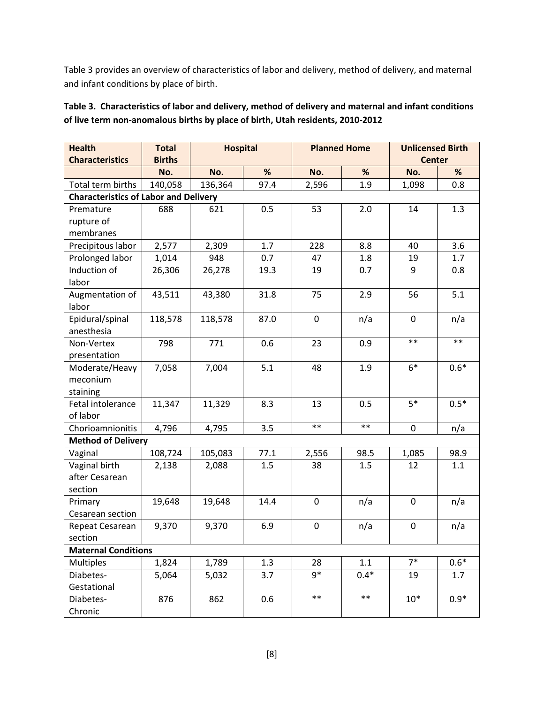Table 3 provides an overview of characteristics of labor and delivery, method of delivery, and maternal and infant conditions by place of birth.

| <b>Health</b><br><b>Characteristics</b>      | <b>Total</b><br><b>Births</b> | <b>Hospital</b> |      |             | <b>Planned Home</b> | <b>Unlicensed Birth</b><br><b>Center</b> |        |
|----------------------------------------------|-------------------------------|-----------------|------|-------------|---------------------|------------------------------------------|--------|
|                                              | No.                           | No.             | %    | No.         | %                   | No.                                      | %      |
| Total term births                            | 140,058                       | 136,364         | 97.4 | 2,596       | 1.9                 | 1,098                                    | 0.8    |
| <b>Characteristics of Labor and Delivery</b> |                               |                 |      |             |                     |                                          |        |
| Premature                                    | 688                           | 621             | 0.5  | 53          | 2.0                 | 14                                       | 1.3    |
| rupture of                                   |                               |                 |      |             |                     |                                          |        |
| membranes                                    |                               |                 |      |             |                     |                                          |        |
| Precipitous labor                            | 2,577                         | 2,309           | 1.7  | 228         | 8.8                 | 40                                       | 3.6    |
| Prolonged labor                              | 1,014                         | 948             | 0.7  | 47          | 1.8                 | 19                                       | 1.7    |
| Induction of                                 | 26,306                        | 26,278          | 19.3 | 19          | 0.7                 | 9                                        | 0.8    |
| labor                                        |                               |                 |      |             |                     |                                          |        |
| Augmentation of                              | 43,511                        | 43,380          | 31.8 | 75          | 2.9                 | 56                                       | 5.1    |
| labor                                        |                               |                 |      |             |                     |                                          |        |
| Epidural/spinal                              | 118,578                       | 118,578         | 87.0 | $\mathbf 0$ | n/a                 | $\mathbf 0$                              | n/a    |
| anesthesia                                   |                               |                 |      |             |                     |                                          |        |
| Non-Vertex                                   | 798                           | 771             | 0.6  | 23          | 0.9                 | $**$                                     | $***$  |
| presentation                                 |                               |                 |      |             |                     |                                          |        |
| Moderate/Heavy                               | 7,058                         | 7,004           | 5.1  | 48          | 1.9                 | $6*$                                     | $0.6*$ |
| meconium                                     |                               |                 |      |             |                     |                                          |        |
| staining                                     |                               |                 |      |             |                     |                                          |        |
| Fetal intolerance                            | 11,347                        | 11,329          | 8.3  | 13          | 0.5                 | $5*$                                     | $0.5*$ |
| of labor                                     |                               |                 |      |             |                     |                                          |        |
| Chorioamnionitis                             | 4,796                         | 4,795           | 3.5  | $**$        | $***$               | $\mathbf 0$                              | n/a    |
| <b>Method of Delivery</b>                    |                               |                 |      |             |                     |                                          |        |
| Vaginal                                      | 108,724                       | 105,083         | 77.1 | 2,556       | 98.5                | 1,085                                    | 98.9   |
| Vaginal birth                                | 2,138                         | 2,088           | 1.5  | 38          | 1.5                 | 12                                       | 1.1    |
| after Cesarean                               |                               |                 |      |             |                     |                                          |        |
| section                                      |                               |                 |      |             |                     |                                          |        |
| Primary                                      | 19,648                        | 19,648          | 14.4 | $\mathbf 0$ | n/a                 | $\mathbf 0$                              | n/a    |
| Cesarean section                             |                               |                 |      |             |                     |                                          |        |
| Repeat Cesarean                              | 9,370                         | 9,370           | 6.9  | $\mathbf 0$ | n/a                 | $\mathbf 0$                              | n/a    |
| section                                      |                               |                 |      |             |                     |                                          |        |
| <b>Maternal Conditions</b>                   |                               |                 |      |             |                     |                                          |        |
| <b>Multiples</b>                             | 1,824                         | 1,789           | 1.3  | 28          | 1.1                 | $7*$                                     | $0.6*$ |
| Diabetes-                                    | 5,064                         | 5,032           | 3.7  | $9*$        | $0.4*$              | 19                                       | 1.7    |
| Gestational                                  |                               |                 |      |             |                     |                                          |        |
| Diabetes-                                    | 876                           | 862             | 0.6  | $**$        | $**$                | $10*$                                    | $0.9*$ |
| Chronic                                      |                               |                 |      |             |                     |                                          |        |

# **Table 3. Characteristics of labor and delivery, method of delivery and maternal and infant conditions of live term non-anomalous births by place of birth, Utah residents, 2010-2012**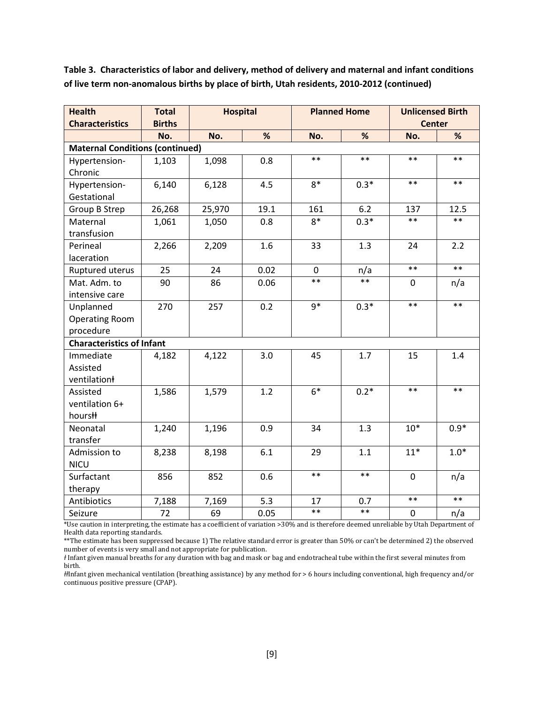**Table 3. Characteristics of labor and delivery, method of delivery and maternal and infant conditions of live term non-anomalous births by place of birth, Utah residents, 2010-2012 (continued)** 

| <b>Health</b>                    | <b>Total</b>                           | <b>Hospital</b> |      |             | <b>Planned Home</b> | <b>Unlicensed Birth</b> |        |  |  |
|----------------------------------|----------------------------------------|-----------------|------|-------------|---------------------|-------------------------|--------|--|--|
| <b>Characteristics</b>           | <b>Births</b>                          |                 |      |             |                     | <b>Center</b>           |        |  |  |
|                                  | No.                                    | No.             | %    | No.         | %                   | No.                     | %      |  |  |
|                                  | <b>Maternal Conditions (continued)</b> |                 |      |             |                     |                         |        |  |  |
| Hypertension-                    | 1,103                                  | 1,098           | 0.8  | $***$       | $***$               | $***$                   | $***$  |  |  |
| Chronic                          |                                        |                 |      |             |                     |                         |        |  |  |
| Hypertension-                    | 6,140                                  | 6,128           | 4.5  | $8*$        | $0.3*$              | $* *$                   | $***$  |  |  |
| Gestational                      |                                        |                 |      |             |                     |                         |        |  |  |
| <b>Group B Strep</b>             | 26,268                                 | 25,970          | 19.1 | 161         | 6.2                 | 137                     | 12.5   |  |  |
| Maternal                         | 1,061                                  | 1,050           | 0.8  | $8*$        | $0.3*$              | $**$                    | $**$   |  |  |
| transfusion                      |                                        |                 |      |             |                     |                         |        |  |  |
| Perineal                         | 2,266                                  | 2,209           | 1.6  | 33          | 1.3                 | 24                      | 2.2    |  |  |
| laceration                       |                                        |                 |      |             |                     |                         |        |  |  |
| Ruptured uterus                  | 25                                     | 24              | 0.02 | $\mathbf 0$ | n/a                 | $**$                    | $**$   |  |  |
| Mat. Adm. to                     | 90                                     | 86              | 0.06 | $**$        | $**$                | 0                       | n/a    |  |  |
| intensive care                   |                                        |                 |      |             |                     |                         |        |  |  |
| Unplanned                        | 270                                    | 257             | 0.2  | $9*$        | $0.3*$              | $**$                    | $***$  |  |  |
| <b>Operating Room</b>            |                                        |                 |      |             |                     |                         |        |  |  |
| procedure                        |                                        |                 |      |             |                     |                         |        |  |  |
| <b>Characteristics of Infant</b> |                                        |                 |      |             |                     |                         |        |  |  |
| Immediate                        | 4,182                                  | 4,122           | 3.0  | 45          | 1.7                 | 15                      | 1.4    |  |  |
| Assisted                         |                                        |                 |      |             |                     |                         |        |  |  |
| ventilation                      |                                        |                 |      |             |                     |                         |        |  |  |
| Assisted                         | 1,586                                  | 1,579           | 1.2  | $6*$        | $0.2*$              | $**$                    | $**$   |  |  |
| ventilation 6+                   |                                        |                 |      |             |                     |                         |        |  |  |
| hours#                           |                                        |                 |      |             |                     |                         |        |  |  |
| Neonatal                         | 1,240                                  | 1,196           | 0.9  | 34          | 1.3                 | $10*$                   | $0.9*$ |  |  |
| transfer                         |                                        |                 |      |             |                     |                         |        |  |  |
| Admission to                     | 8,238                                  | 8,198           | 6.1  | 29          | 1.1                 | $11*$                   | $1.0*$ |  |  |
| <b>NICU</b>                      |                                        |                 |      |             |                     |                         |        |  |  |
| Surfactant                       | 856                                    | 852             | 0.6  | $**$        | $**$                | $\overline{0}$          | n/a    |  |  |
| therapy                          |                                        |                 |      |             |                     |                         |        |  |  |
| Antibiotics                      | 7,188                                  | 7,169           | 5.3  | 17          | 0.7                 | $***$                   | $***$  |  |  |
| Seizure                          | 72                                     | 69              | 0.05 | $***$       | $**$                | $\mathbf{0}$            | n/a    |  |  |

\*Use caution in interpreting, the estimate has a coefficient of variation >30% and is therefore deemed unreliable by Utah Department of Health data reporting standards.

\*\*The estimate has been suppressed because 1) The relative standard error is greater than 50% or can't be determined 2) the observed number of events is very small and not appropriate for publication.

*ⱡ* Infant given manual breaths for any duration with bag and mask or bag and endotracheal tube within the first several minutes from birth.

*ⱡⱡ*Infant given mechanical ventilation (breathing assistance) by any method for > 6 hours including conventional, high frequency and/or continuous positive pressure (CPAP).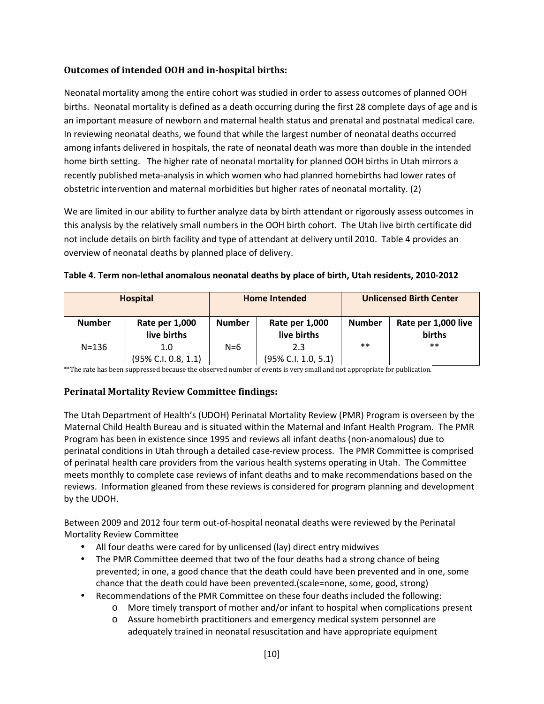# **Outcomes of intended OOH and in-hospital births:**

Neonatal mortality among the entire cohort was studied in order to assess outcomes of planned OOH births. Neonatal mortality is defined as a death occurring during the first 28 complete days of age and is an important measure of newborn and maternal health status and prenatal and postnatal medical care. In reviewing neonatal deaths, we found that while the largest number of neonatal deaths occurred among infants delivered in hospitals, the rate of neonatal death was more than double in the intended home birth setting. The higher rate of neonatal mortality for planned OOH births in Utah mirrors a recently published meta-analysis in which women who had planned homebirths had lower rates of obstetric intervention and maternal morbidities but higher rates of neonatal mortality. (2)

We are limited in our ability to further analyze data by birth attendant or rigorously assess outcomes in this analysis by the relatively small numbers in the OOH birth cohort. The Utah live birth certificate did not include details on birth facility and type of attendant at delivery until 2010. Table 4 provides an overview of neonatal deaths by planned place of delivery.

|               | <b>Hospital</b>               | <b>Home Intended</b> |                               | <b>Unlicensed Birth Center</b> |                                      |
|---------------|-------------------------------|----------------------|-------------------------------|--------------------------------|--------------------------------------|
| <b>Number</b> | Rate per 1,000<br>live births | <b>Number</b>        | Rate per 1,000<br>live births | <b>Number</b>                  | Rate per 1,000 live<br><b>births</b> |
| $N = 136$     | 1.0                           | $N=6$                | 2.3                           | $***$                          | $* *$                                |
|               | (95% C.I. 0.8, 1.1)           |                      | (95% C.I. 1.0, 5.1)           |                                |                                      |

| Table 4. Term non-lethal anomalous neonatal deaths by place of birth, Utah residents, 2010-2012 |  |
|-------------------------------------------------------------------------------------------------|--|
|-------------------------------------------------------------------------------------------------|--|

\*\*The rate has been suppressed because the observed number of events is very small and not appropriate for publication.

# **Perinatal Mortality Review Committee findings:**

The Utah Department of Health's (UDOH) Perinatal Mortality Review (PMR) Program is overseen by the Maternal Child Health Bureau and is situated within the Maternal and Infant Health Program. The PMR Program has been in existence since 1995 and reviews all infant deaths (non-anomalous) due to perinatal conditions in Utah through a detailed case-review process. The PMR Committee is comprised of perinatal health care providers from the various health systems operating in Utah. The Committee meets monthly to complete case reviews of infant deaths and to make recommendations based on the reviews. Information gleaned from these reviews is considered for program planning and development by the UDOH.

Between 2009 and 2012 four term out-of-hospital neonatal deaths were reviewed by the Perinatal Mortality Review Committee

- All four deaths were cared for by unlicensed (lay) direct entry midwives
- The PMR Committee deemed that two of the four deaths had a strong chance of being prevented; in one, a good chance that the death could have been prevented and in one, some chance that the death could have been prevented.(scale=none, some, good, strong)
- Recommendations of the PMR Committee on these four deaths included the following:
	- o More timely transport of mother and/or infant to hospital when complications present
	- o Assure homebirth practitioners and emergency medical system personnel are adequately trained in neonatal resuscitation and have appropriate equipment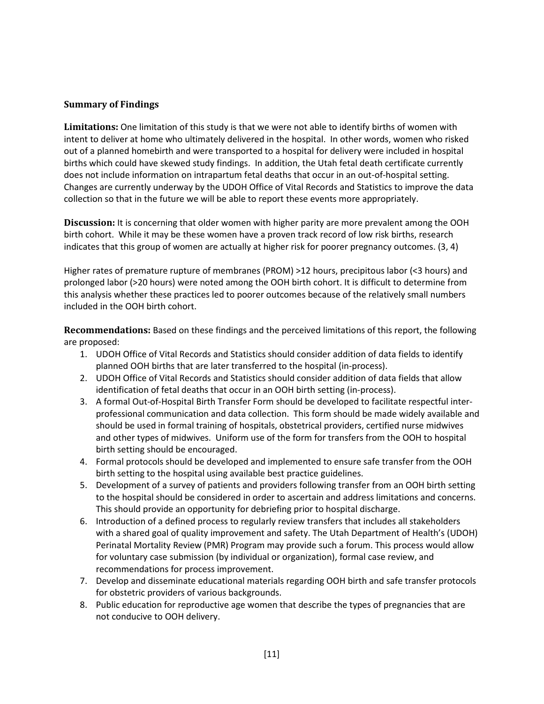## **Summary of Findings**

**Limitations:** One limitation of this study is that we were not able to identify births of women with intent to deliver at home who ultimately delivered in the hospital. In other words, women who risked out of a planned homebirth and were transported to a hospital for delivery were included in hospital births which could have skewed study findings. In addition, the Utah fetal death certificate currently does not include information on intrapartum fetal deaths that occur in an out-of-hospital setting. Changes are currently underway by the UDOH Office of Vital Records and Statistics to improve the data collection so that in the future we will be able to report these events more appropriately.

**Discussion:** It is concerning that older women with higher parity are more prevalent among the OOH birth cohort. While it may be these women have a proven track record of low risk births, research indicates that this group of women are actually at higher risk for poorer pregnancy outcomes. (3, 4)

Higher rates of premature rupture of membranes (PROM) >12 hours, precipitous labor (<3 hours) and prolonged labor (>20 hours) were noted among the OOH birth cohort. It is difficult to determine from this analysis whether these practices led to poorer outcomes because of the relatively small numbers included in the OOH birth cohort.

**Recommendations:** Based on these findings and the perceived limitations of this report, the following are proposed:

- 1. UDOH Office of Vital Records and Statistics should consider addition of data fields to identify planned OOH births that are later transferred to the hospital (in-process).
- 2. UDOH Office of Vital Records and Statistics should consider addition of data fields that allow identification of fetal deaths that occur in an OOH birth setting (in-process).
- 3. A formal Out-of-Hospital Birth Transfer Form should be developed to facilitate respectful interprofessional communication and data collection. This form should be made widely available and should be used in formal training of hospitals, obstetrical providers, certified nurse midwives and other types of midwives. Uniform use of the form for transfers from the OOH to hospital birth setting should be encouraged.
- 4. Formal protocols should be developed and implemented to ensure safe transfer from the OOH birth setting to the hospital using available best practice guidelines.
- 5. Development of a survey of patients and providers following transfer from an OOH birth setting to the hospital should be considered in order to ascertain and address limitations and concerns. This should provide an opportunity for debriefing prior to hospital discharge.
- 6. Introduction of a defined process to regularly review transfers that includes all stakeholders with a shared goal of quality improvement and safety. The Utah Department of Health's (UDOH) Perinatal Mortality Review (PMR) Program may provide such a forum. This process would allow for voluntary case submission (by individual or organization), formal case review, and recommendations for process improvement.
- 7. Develop and disseminate educational materials regarding OOH birth and safe transfer protocols for obstetric providers of various backgrounds.
- 8. Public education for reproductive age women that describe the types of pregnancies that are not conducive to OOH delivery.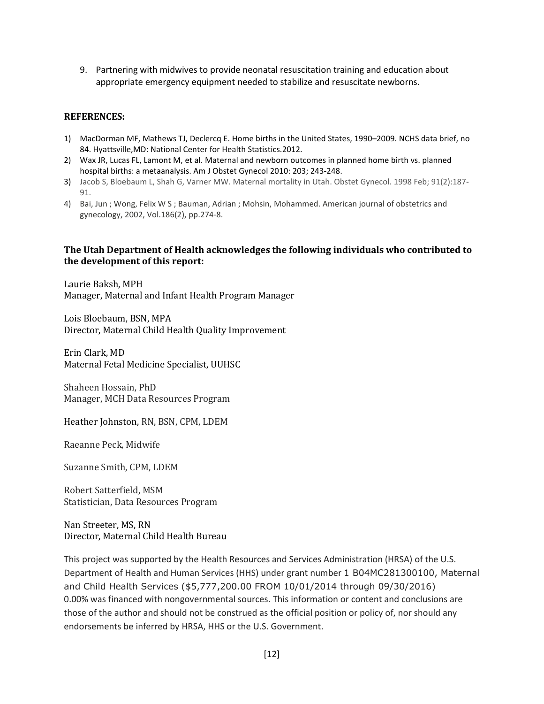9. Partnering with midwives to provide neonatal resuscitation training and education about appropriate emergency equipment needed to stabilize and resuscitate newborns.

#### **REFERENCES:**

- 1) MacDorman MF, Mathews TJ, Declercq E. Home births in the United States, 1990–2009. NCHS data brief, no 84. Hyattsville,MD: National Center for Health Statistics.2012.
- 2) Wax JR, Lucas FL, Lamont M, et al. Maternal and newborn outcomes in planned home birth vs. planned hospital births: a metaanalysis. Am J Obstet Gynecol 2010: 203; 243-248.
- 3) Jacob S, Bloebaum L, Shah G, Varner MW. Maternal mortality in Utah. Obstet Gynecol. 1998 Feb; 91(2):187- 91.
- 4) Bai, Jun ; Wong, Felix W S ; Bauman, Adrian ; Mohsin, Mohammed. American journal of obstetrics and gynecology, 2002, Vol.186(2), pp.274-8.

#### **The Utah Department of Health acknowledges the following individuals who contributed to the development of this report:**

Laurie Baksh, MPH Manager, Maternal and Infant Health Program Manager

Lois Bloebaum, BSN, MPA Director, Maternal Child Health Quality Improvement

Erin Clark, MD Maternal Fetal Medicine Specialist, UUHSC

Shaheen Hossain, PhD Manager, MCH Data Resources Program

Heather Johnston, RN, BSN, CPM, LDEM

Raeanne Peck, Midwife

Suzanne Smith, CPM, LDEM

Robert Satterfield, MSM Statistician, Data Resources Program

Nan Streeter, MS, RN Director, Maternal Child Health Bureau

This project was supported by the Health Resources and Services Administration (HRSA) of the U.S. Department of Health and Human Services (HHS) under grant number 1 B04MC281300100, Maternal and Child Health Services (\$5,777,200.00 FROM 10/01/2014 through 09/30/2016) 0.00% was financed with nongovernmental sources. This information or content and conclusions are those of the author and should not be construed as the official position or policy of, nor should any endorsements be inferred by HRSA, HHS or the U.S. Government.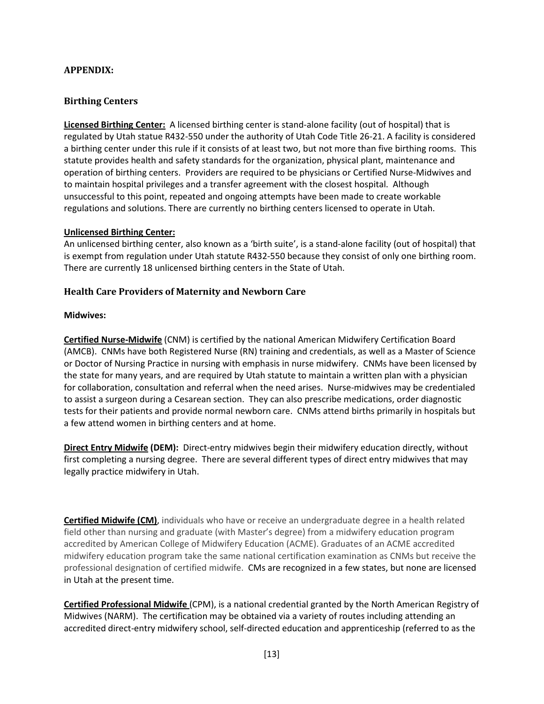## **APPENDIX:**

## **Birthing Centers**

**Licensed Birthing Center:** A licensed birthing center is stand-alone facility (out of hospital) that is regulated by Utah statue R432-550 under the authority of Utah Code Title 26-21. A facility is considered a birthing center under this rule if it consists of at least two, but not more than five birthing rooms. This statute provides health and safety standards for the organization, physical plant, maintenance and operation of birthing centers. Providers are required to be physicians or Certified Nurse-Midwives and to maintain hospital privileges and a transfer agreement with the closest hospital. Although unsuccessful to this point, repeated and ongoing attempts have been made to create workable regulations and solutions. There are currently no birthing centers licensed to operate in Utah.

#### **Unlicensed Birthing Center:**

An unlicensed birthing center, also known as a 'birth suite', is a stand-alone facility (out of hospital) that is exempt from regulation under Utah statute R432-550 because they consist of only one birthing room. There are currently 18 unlicensed birthing centers in the State of Utah.

## **Health Care Providers of Maternity and Newborn Care**

## **Midwives:**

**Certified Nurse-Midwife** (CNM) is certified by the national American Midwifery Certification Board (AMCB). CNMs have both Registered Nurse (RN) training and credentials, as well as a Master of Science or Doctor of Nursing Practice in nursing with emphasis in nurse midwifery. CNMs have been licensed by the state for many years, and are required by Utah statute to maintain a written plan with a physician for collaboration, consultation and referral when the need arises. Nurse-midwives may be credentialed to assist a surgeon during a Cesarean section. They can also prescribe medications, order diagnostic tests for their patients and provide normal newborn care. CNMs attend births primarily in hospitals but a few attend women in birthing centers and at home.

**Direct Entry Midwife (DEM):** Direct-entry midwives begin their midwifery education directly, without first completing a nursing degree. There are several different types of direct entry midwives that may legally practice midwifery in Utah.

**Certified Midwife (CM)**, individuals who have or receive an undergraduate degree in a health related field other than nursing and graduate (with Master's degree) from a midwifery education program accredited by American College of Midwifery Education (ACME). Graduates of an ACME accredited midwifery education program take the same national certification examination as CNMs but receive the professional designation of certified midwife. CMs are recognized in a few states, but none are licensed in Utah at the present time.

**Certified Professional Midwife** (CPM), is a national credential granted by the North American Registry of Midwives (NARM). The certification may be obtained via a variety of routes including attending an accredited direct-entry midwifery school, self-directed education and apprenticeship (referred to as the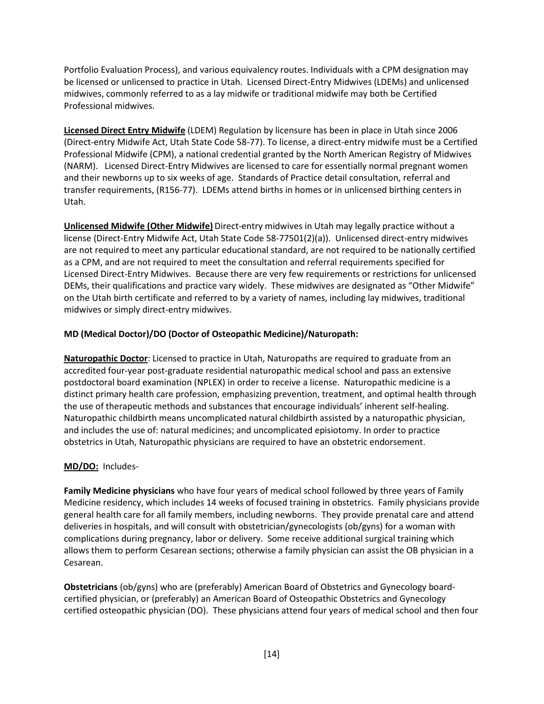Portfolio Evaluation Process), and various equivalency routes. Individuals with a CPM designation may be licensed or unlicensed to practice in Utah. Licensed Direct-Entry Midwives (LDEMs) and unlicensed midwives, commonly referred to as a lay midwife or traditional midwife may both be Certified Professional midwives.

**Licensed Direct Entry Midwife** (LDEM) Regulation by licensure has been in place in Utah since 2006 (Direct-entry Midwife Act, Utah State Code 58-77). To license, a direct-entry midwife must be a Certified Professional Midwife (CPM), a national credential granted by the North American Registry of Midwives (NARM). Licensed Direct-Entry Midwives are licensed to care for essentially normal pregnant women and their newborns up to six weeks of age. Standards of Practice detail consultation, referral and transfer requirements, (R156-77). LDEMs attend births in homes or in unlicensed birthing centers in Utah.

**Unlicensed Midwife (Other Midwife)** Direct-entry midwives in Utah may legally practice without a license (Direct-Entry Midwife Act, Utah State Code 58-77501(2)(a)). Unlicensed direct-entry midwives are not required to meet any particular educational standard, are not required to be nationally certified as a CPM, and are not required to meet the consultation and referral requirements specified for Licensed Direct-Entry Midwives. Because there are very few requirements or restrictions for unlicensed DEMs, their qualifications and practice vary widely. These midwives are designated as "Other Midwife" on the Utah birth certificate and referred to by a variety of names, including lay midwives, traditional midwives or simply direct-entry midwives.

## **MD (Medical Doctor)/DO (Doctor of Osteopathic Medicine)/Naturopath:**

**Naturopathic Doctor**: Licensed to practice in Utah, Naturopaths are required to graduate from an accredited four-year post-graduate residential naturopathic medical school and pass an extensive postdoctoral board examination (NPLEX) in order to receive a license. Naturopathic medicine is a distinct primary health care profession, emphasizing prevention, treatment, and optimal health through the use of therapeutic methods and substances that encourage individuals' inherent self-healing. Naturopathic childbirth means uncomplicated natural childbirth assisted by a naturopathic physician, and includes the use of: natural medicines; and uncomplicated episiotomy. In order to practice obstetrics in Utah, Naturopathic physicians are required to have an obstetric endorsement.

## **MD/DO:** Includes-

**Family Medicine physicians** who have four years of medical school followed by three years of Family Medicine residency, which includes 14 weeks of focused training in obstetrics. Family physicians provide general health care for all family members, including newborns. They provide prenatal care and attend deliveries in hospitals, and will consult with obstetrician/gynecologists (ob/gyns) for a woman with complications during pregnancy, labor or delivery. Some receive additional surgical training which allows them to perform Cesarean sections; otherwise a family physician can assist the OB physician in a Cesarean.

**Obstetricians** (ob/gyns) who are (preferably) American Board of Obstetrics and Gynecology boardcertified physician, or (preferably) an American Board of Osteopathic Obstetrics and Gynecology certified osteopathic physician (DO). These physicians attend four years of medical school and then four